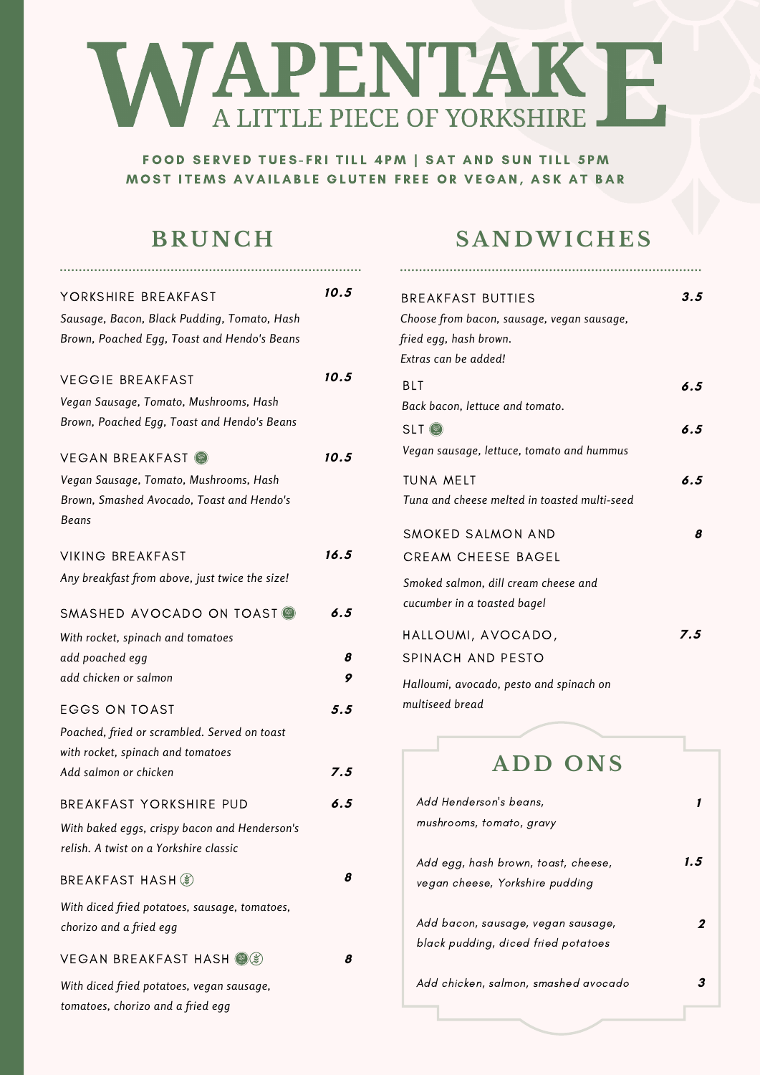# **NAPENTAKE**

FOOD SERVED TUES-FRI TILL 4PM | SAT AND SUN TILL 5PM MOST ITEMS AVAILABLE GLUTEN FREE OR VEGAN, ASK AT BAR

#### **B R UNCH**

| YORKSHIRE BREAKFAST                                                                        | 10.5 |
|--------------------------------------------------------------------------------------------|------|
| Sausage, Bacon, Black Pudding, Tomato, Hash<br>Brown, Poached Egg, Toast and Hendo's Beans |      |
|                                                                                            |      |
| VEGGIE BREAKFAST                                                                           | 10.5 |
| Vegan Sausage, Tomato, Mushrooms, Hash<br>Brown, Poached Egg, Toast and Hendo's Beans      |      |
| VEGAN BREAKFAST                                                                            | 10.5 |
| Vegan Sausage, Tomato, Mushrooms, Hash                                                     |      |
| Brown, Smashed Avocado, Toast and Hendo's<br>Beans                                         |      |
| VIKING BREAKFAST                                                                           | 16.5 |
| Any breakfast from above, just twice the size!                                             |      |
| SMASHED AVOCADO ON TOAST                                                                   | 6.5  |
| With rocket, spinach and tomatoes                                                          |      |
| add poached egg                                                                            | 8    |
| add chicken or salmon                                                                      | 9    |
| <b>EGGS ON TOAST</b>                                                                       | 5.5  |
| Poached, fried or scrambled. Served on toast                                               |      |
| with rocket, spinach and tomatoes                                                          |      |
| Add salmon or chicken                                                                      | 7.5  |
| BREAKFAST YORKSHIRE PUD                                                                    | 6.5  |
| With baked eggs, crispy bacon and Henderson's                                              |      |
| relish. A twist on a Yorkshire classic                                                     |      |
| BREAKFAST HASH ( <i></i> *)                                                                | 8    |
| With diced fried potatoes, sausage, tomatoes,                                              |      |
| chorizo and a fried egg                                                                    |      |
| VEGAN BREAKFAST HASH (2)                                                                   | 8    |
| With diced fried potatoes, vegan sausage,                                                  |      |
| tomatoes, chorizo and a fried egg                                                          |      |

## **S ANDWI CHES**

| <b>BREAKFAST BUTTIES</b><br>Choose from bacon, sausage, vegan sausage,<br>fried egg, hash brown.                      | 3.5        |
|-----------------------------------------------------------------------------------------------------------------------|------------|
| Extras can be added!<br>BLT<br>Back bacon, lettuce and tomato.<br>$SLT$ $\circledast$                                 | 6.5<br>6.5 |
| Vegan sausage, lettuce, tomato and hummus<br>TUNA MFLT<br>Tuna and cheese melted in toasted multi-seed                | 6.5        |
| SMOKED SALMON AND<br><b>CREAM CHEESE BAGEL</b><br>Smoked salmon, dill cream cheese and<br>cucumber in a toasted bagel | 8          |
| HALLOUMI, AVOCADO,<br>SPINACH AND PESTO<br>Halloumi, avocado, pesto and spinach on<br>multiseed bread                 | 7.5        |
| ADD ONS                                                                                                               |            |
| Add Henderson's beans,<br>mushrooms, tomato, gravy                                                                    | 1          |
| Add egg, hash brown, toast, cheese,<br>vegan cheese, Yorkshire pudding                                                | 1.5        |
| Add bacon, sausage, vegan sausage,<br>black pudding, diced fried potatoes                                             |            |
| Add chicken, salmon, smashed avocado                                                                                  |            |